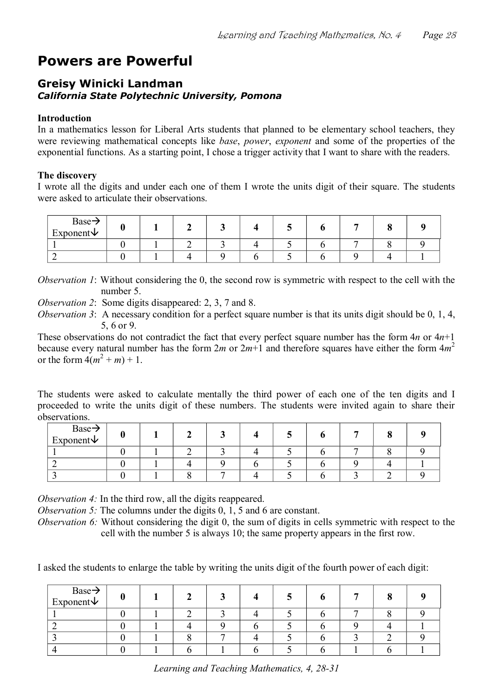# **Powers are Powerful**

## **Greisy Winicki Landman** *California State Polytechnic University, Pomona*

#### **Introduction**

In a mathematics lesson for Liberal Arts students that planned to be elementary school teachers, they were reviewing mathematical concepts like *base*, *power*, *exponent* and some of the properties of the exponential functions. As a starting point, I chose a trigger activity that I want to share with the readers.

#### **The discovery**

I wrote all the digits and under each one of them I wrote the units digit of their square. The students were asked to articulate their observations.

| $Base \rightarrow$<br>Exponent $\vee$ |  |  |  |  |  |
|---------------------------------------|--|--|--|--|--|
|                                       |  |  |  |  |  |
|                                       |  |  |  |  |  |

*Observation 1*: Without considering the 0, the second row is symmetric with respect to the cell with the number 5.

*Observation 2*: Some digits disappeared: 2, 3, 7 and 8.

*Observation 3*: A necessary condition for a perfect square number is that its units digit should be 0, 1, 4, 5, 6 or 9.

These observations do not contradict the fact that every perfect square number has the form 4*n* or 4*n*+1 because every natural number has the form 2*m* or 2*m*+1 and therefore squares have either the form 4*m* 2 or the form  $4(m^2 + m) + 1$ .

The students were asked to calculate mentally the third power of each one of the ten digits and I proceeded to write the units digit of these numbers. The students were invited again to share their observations.

| $Base \rightarrow$<br>Exponent $\vee$ |  |  |  |  |  |
|---------------------------------------|--|--|--|--|--|
|                                       |  |  |  |  |  |
|                                       |  |  |  |  |  |
|                                       |  |  |  |  |  |

*Observation 4:* In the third row, all the digits reappeared.

*Observation 5:* The columns under the digits 0, 1, 5 and 6 are constant.

*Observation 6:* Without considering the digit 0, the sum of digits in cells symmetric with respect to the cell with the number 5 is always 10; the same property appears in the first row.

I asked the students to enlarge the table by writing the units digit of the fourth power of each digit:

| $Base \rightarrow$<br>Exponent $\vee$ |  |  |  |  |  |
|---------------------------------------|--|--|--|--|--|
|                                       |  |  |  |  |  |
|                                       |  |  |  |  |  |
|                                       |  |  |  |  |  |
|                                       |  |  |  |  |  |

*Learning and Teaching Mathematics, 4, 28-31*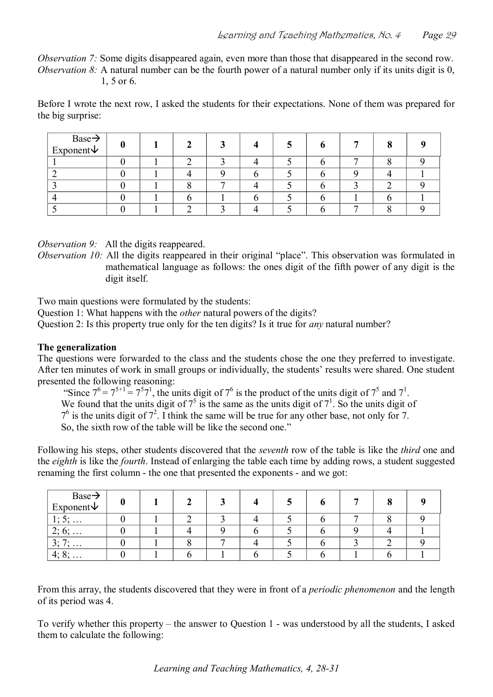*Observation 7:* Some digits disappeared again, even more than those that disappeared in the second row. *Observation 8:* A natural number can be the fourth power of a natural number only if its units digit is 0, 1, 5 or 6.

Before I wrote the next row, I asked the students for their expectations. None of them was prepared for the big surprise:

| $Base \rightarrow$<br>Exponent $\vee$ |  |  |  |  |  |
|---------------------------------------|--|--|--|--|--|
|                                       |  |  |  |  |  |
|                                       |  |  |  |  |  |
|                                       |  |  |  |  |  |
|                                       |  |  |  |  |  |
|                                       |  |  |  |  |  |

*Observation 9:* All the digits reappeared.

*Observation 10:* All the digits reappeared in their original "place". This observation was formulated in mathematical language as follows: the ones digit of the fifth power of any digit is the digit itself.

Two main questions were formulated by the students:

Question 1: What happens with the *other* natural powers of the digits?

Question 2: Is this property true only for the ten digits? Is it true for *any* natural number?

#### **The generalization**

The questions were forwarded to the class and the students chose the one they preferred to investigate. After ten minutes of work in small groups or individually, the students' results were shared. One student presented the following reasoning:

"Since  $7^6 = 7^{5+1} = 7^5 7^1$ , the units digit of  $7^6$  is the product of the units digit of  $7^5$  and  $7^1$ .

We found that the units digit of  $7<sup>5</sup>$  is the same as the units digit of  $7<sup>1</sup>$ . So the units digit of

 $7<sup>6</sup>$  is the units digit of  $7<sup>2</sup>$ . I think the same will be true for any other base, not only for 7.

So, the sixth row of the table will be like the second one."

Following his steps, other students discovered that the *seventh* row of the table is like the *third* one and the *eighth* is like the *fourth*. Instead of enlarging the table each time by adding rows, a student suggested renaming the first column - the one that presented the exponents - and we got:

| $Base \rightarrow$<br>Exponent $\vee$   |  |  |  | ▀ |  |
|-----------------------------------------|--|--|--|---|--|
| $\bullet$<br><u>.</u><br><b>.</b>       |  |  |  |   |  |
| ົາ -<br>$0, \ldots$<br><u>.</u>         |  |  |  |   |  |
| $\gamma$ .<br>–<br><u>.</u><br>$\cdots$ |  |  |  |   |  |
| 4:8:<br>$\mathbf{0}, \ldots$            |  |  |  |   |  |

From this array, the students discovered that they were in front of a *periodic phenomenon* and the length of its period was 4.

To verify whether this property – the answer to Question 1 was understood by all the students, I asked them to calculate the following: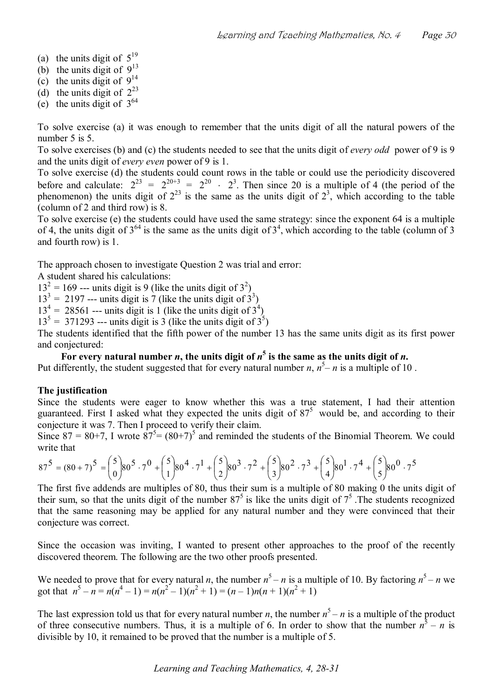- (a) the units digit of  $5^{19}$
- (b) the units digit of  $9<sup>13</sup>$
- (c) the units digit of  $9^{14}$
- (d) the units digit of  $2^{23}$
- (e) the units digit of  $3^{64}$

To solve exercise (a) it was enough to remember that the units digit of all the natural powers of the number 5 is 5.

To solve exercises (b) and (c) the students needed to see that the units digit of *every odd* power of 9 is 9 and the units digit of *every even* power of 9 is 1.

To solve exercise (d) the students could count rows in the table or could use the periodicity discovered before and calculate:  $2^{23} = 2^{20+3} = 2^{20} \cdot 2^3$ . Then since 20 is a multiple of 4 (the period of the phenomenon) the units digit of  $2^{23}$  is the same as the units digit of  $2^3$ , which according to the table (column of 2 and third row) is 8.

To solve exercise (e) the students could have used the same strategy: since the exponent 64 is a multiple of 4, the units digit of  $3^{64}$  is the same as the units digit of  $3^4$ , which according to the table (column of 3 and fourth row) is 1.

The approach chosen to investigate Question 2 was trial and error:

A student shared his calculations:

 $13<sup>2</sup> = 169$  --- units digit is 9 (like the units digit of  $3<sup>2</sup>$ )

 $13<sup>3</sup> = 2197$  --- units digit is 7 (like the units digit of  $3<sup>3</sup>$ )

 $13<sup>4</sup> = 28561$  --- units digit is 1 (like the units digit of  $3<sup>4</sup>$ )

 $13^5$  = 371293 --- units digit is 3 (like the units digit of  $3^5$ )

The students identified that the fifth power of the number 13 has the same units digit as its first power and conjectured:

For every natural number *n*, the units digit of  $n^5$  is the same as the units digit of *n*.

Put differently, the student suggested that for every natural number  $n$ ,  $n^5 - n$  is a multiple of 10.

### **The justification**

Since the students were eager to know whether this was a true statement, I had their attention guaranteed. First I asked what they expected the units digit of  $87<sup>5</sup>$  would be, and according to their conjecture it was 7. Then I proceed to verify their claim.

Since 87 = 80+7, I wrote  $87^5$  =  $(80+7)^5$  and reminded the students of the Binomial Theorem. We could write that

$$
87^5 = (80+7)^5 = {5 \choose 0} 80^5 \cdot 7^0 + {5 \choose 1} 80^4 \cdot 7^1 + {5 \choose 2} 80^3 \cdot 7^2 + {5 \choose 3} 80^2 \cdot 7^3 + {5 \choose 4} 80^1 \cdot 7^4 + {5 \choose 5} 80^0 \cdot 7^5
$$

The first five addends are multiples of 80, thus their sum is a multiple of 80 making 0 the units digit of their sum, so that the units digit of the number  $87<sup>5</sup>$  is like the units digit of  $7<sup>5</sup>$ . The students recognized that the same reasoning may be applied for any natural number and they were convinced that their conjecture was correct.

Since the occasion was inviting, I wanted to present other approaches to the proof of the recently discovered theorem. The following are the two other proofs presented.

We needed to prove that for every natural *n*, the number  $n^5 - n$  is a multiple of 10. By factoring  $n^5 - n$  we got that  $n^5 - n = n(n^4 - 1) = n(n^2 - 1)(n^2 + 1) = (n - 1)n(n + 1)(n^2 + 1)$ 

The last expression told us that for every natural number  $n$ , the number  $n^5 - n$  is a multiple of the product of three consecutive numbers. Thus, it is a multiple of 6. In order to show that the number  $n^5 - n$  is divisible by 10, it remained to be proved that the number is a multiple of 5.